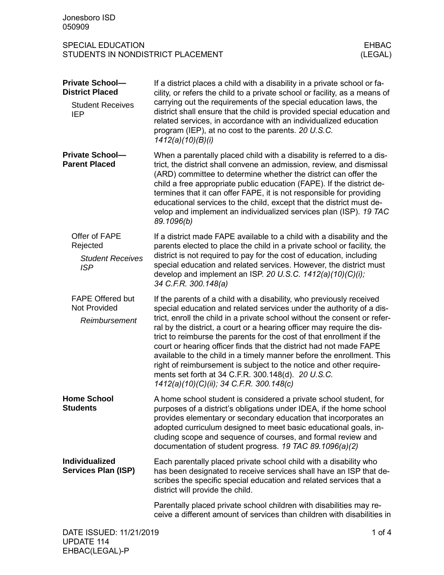| Jonesboro ISD<br>050909                                                                   |                                                                                                                                                                                                                                                                                                                                                                                                                                                                                                                                                                                                                                                                                                     |          |  |
|-------------------------------------------------------------------------------------------|-----------------------------------------------------------------------------------------------------------------------------------------------------------------------------------------------------------------------------------------------------------------------------------------------------------------------------------------------------------------------------------------------------------------------------------------------------------------------------------------------------------------------------------------------------------------------------------------------------------------------------------------------------------------------------------------------------|----------|--|
| <b>SPECIAL EDUCATION</b><br><b>EHBAC</b><br>STUDENTS IN NONDISTRICT PLACEMENT<br>(LEGAL)  |                                                                                                                                                                                                                                                                                                                                                                                                                                                                                                                                                                                                                                                                                                     |          |  |
| <b>Private School-</b><br><b>District Placed</b><br><b>Student Receives</b><br><b>IEP</b> | If a district places a child with a disability in a private school or fa-<br>cility, or refers the child to a private school or facility, as a means of<br>carrying out the requirements of the special education laws, the<br>district shall ensure that the child is provided special education and<br>related services, in accordance with an individualized education<br>program (IEP), at no cost to the parents. 20 U.S.C.<br>1412(a)(10)(B)(i)                                                                                                                                                                                                                                               |          |  |
| <b>Private School-</b><br><b>Parent Placed</b>                                            | When a parentally placed child with a disability is referred to a dis-<br>trict, the district shall convene an admission, review, and dismissal<br>(ARD) committee to determine whether the district can offer the<br>child a free appropriate public education (FAPE). If the district de-<br>termines that it can offer FAPE, it is not responsible for providing<br>educational services to the child, except that the district must de-<br>velop and implement an individualized services plan (ISP). 19 TAC<br>89.1096(b)                                                                                                                                                                      |          |  |
| Offer of FAPE<br>Rejected<br><b>Student Receives</b><br><b>ISP</b>                        | If a district made FAPE available to a child with a disability and the<br>parents elected to place the child in a private school or facility, the<br>district is not required to pay for the cost of education, including<br>special education and related services. However, the district must<br>develop and implement an ISP. 20 U.S.C. $1412(a)(10)(C)(i)$ ;<br>34 C.F.R. 300.148(a)                                                                                                                                                                                                                                                                                                            |          |  |
| <b>FAPE Offered but</b><br><b>Not Provided</b><br>Reimbursement                           | If the parents of a child with a disability, who previously received<br>special education and related services under the authority of a dis-<br>trict, enroll the child in a private school without the consent or refer-<br>ral by the district, a court or a hearing officer may require the dis-<br>trict to reimburse the parents for the cost of that enrollment if the<br>court or hearing officer finds that the district had not made FAPE<br>available to the child in a timely manner before the enrollment. This<br>right of reimbursement is subject to the notice and other require-<br>ments set forth at 34 C.F.R. 300.148(d). 20 U.S.C.<br>1412(a)(10)(C)(ii); 34 C.F.R. 300.148(c) |          |  |
| <b>Home School</b><br><b>Students</b>                                                     | A home school student is considered a private school student, for<br>purposes of a district's obligations under IDEA, if the home school<br>provides elementary or secondary education that incorporates an<br>adopted curriculum designed to meet basic educational goals, in-<br>cluding scope and sequence of courses, and formal review and<br>documentation of student progress. 19 TAC 89.1096(a)(2)                                                                                                                                                                                                                                                                                          |          |  |
| Individualized<br><b>Services Plan (ISP)</b>                                              | Each parentally placed private school child with a disability who<br>has been designated to receive services shall have an ISP that de-<br>scribes the specific special education and related services that a<br>district will provide the child.                                                                                                                                                                                                                                                                                                                                                                                                                                                   |          |  |
|                                                                                           | Parentally placed private school children with disabilities may re-<br>ceive a different amount of services than children with disabilities in                                                                                                                                                                                                                                                                                                                                                                                                                                                                                                                                                      |          |  |
| DATE ISSUED: 11/21/2019                                                                   |                                                                                                                                                                                                                                                                                                                                                                                                                                                                                                                                                                                                                                                                                                     | 1 of $4$ |  |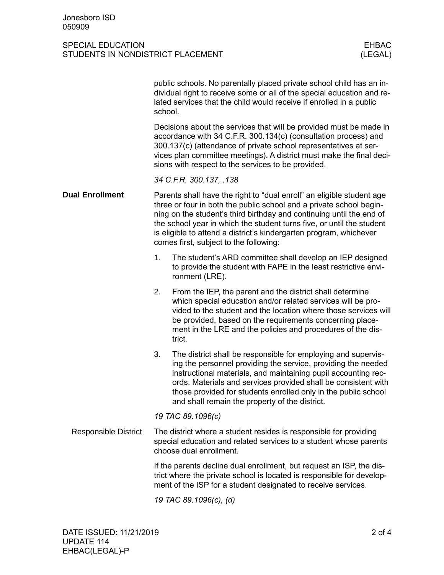## SPECIAL EDUCATION EHBAC STUDENTS IN NONDISTRICT PLACEMENT

|                             | public schools. No parentally placed private school child has an in-<br>dividual right to receive some or all of the special education and re-<br>lated services that the child would receive if enrolled in a public<br>school.                                                                                                                                                                              |                                                                                                                                                                                                                                                                                                                                                                                        |  |  |  |
|-----------------------------|---------------------------------------------------------------------------------------------------------------------------------------------------------------------------------------------------------------------------------------------------------------------------------------------------------------------------------------------------------------------------------------------------------------|----------------------------------------------------------------------------------------------------------------------------------------------------------------------------------------------------------------------------------------------------------------------------------------------------------------------------------------------------------------------------------------|--|--|--|
|                             |                                                                                                                                                                                                                                                                                                                                                                                                               | Decisions about the services that will be provided must be made in<br>accordance with 34 C.F.R. 300.134(c) (consultation process) and<br>300.137(c) (attendance of private school representatives at ser-<br>vices plan committee meetings). A district must make the final deci-<br>sions with respect to the services to be provided.                                                |  |  |  |
|                             | 34 C.F.R. 300.137, .138                                                                                                                                                                                                                                                                                                                                                                                       |                                                                                                                                                                                                                                                                                                                                                                                        |  |  |  |
| <b>Dual Enrollment</b>      | Parents shall have the right to "dual enroll" an eligible student age<br>three or four in both the public school and a private school begin-<br>ning on the student's third birthday and continuing until the end of<br>the school year in which the student turns five, or until the student<br>is eligible to attend a district's kindergarten program, whichever<br>comes first, subject to the following: |                                                                                                                                                                                                                                                                                                                                                                                        |  |  |  |
|                             | 1.                                                                                                                                                                                                                                                                                                                                                                                                            | The student's ARD committee shall develop an IEP designed<br>to provide the student with FAPE in the least restrictive envi-<br>ronment (LRE).                                                                                                                                                                                                                                         |  |  |  |
|                             | 2.                                                                                                                                                                                                                                                                                                                                                                                                            | From the IEP, the parent and the district shall determine<br>which special education and/or related services will be pro-<br>vided to the student and the location where those services will<br>be provided, based on the requirements concerning place-<br>ment in the LRE and the policies and procedures of the dis-<br>trict.                                                      |  |  |  |
|                             | 3.                                                                                                                                                                                                                                                                                                                                                                                                            | The district shall be responsible for employing and supervis-<br>ing the personnel providing the service, providing the needed<br>instructional materials, and maintaining pupil accounting rec-<br>ords. Materials and services provided shall be consistent with<br>those provided for students enrolled only in the public school<br>and shall remain the property of the district. |  |  |  |
|                             | 19 TAC 89.1096(c)                                                                                                                                                                                                                                                                                                                                                                                             |                                                                                                                                                                                                                                                                                                                                                                                        |  |  |  |
| <b>Responsible District</b> | The district where a student resides is responsible for providing<br>special education and related services to a student whose parents<br>choose dual enrollment.                                                                                                                                                                                                                                             |                                                                                                                                                                                                                                                                                                                                                                                        |  |  |  |
|                             | If the parents decline dual enrollment, but request an ISP, the dis-<br>trict where the private school is located is responsible for develop-<br>ment of the ISP for a student designated to receive services.                                                                                                                                                                                                |                                                                                                                                                                                                                                                                                                                                                                                        |  |  |  |

*19 TAC 89.1096(c), (d)*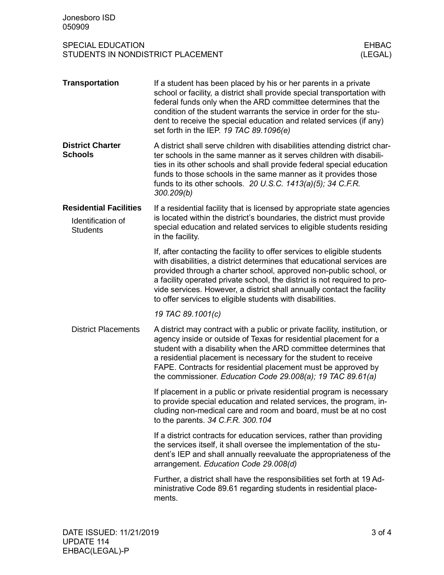| Jonesboro ISD<br>050909                                                                  |                                                                                                                                                                                                                                                                                                                                                                                                                                            |  |
|------------------------------------------------------------------------------------------|--------------------------------------------------------------------------------------------------------------------------------------------------------------------------------------------------------------------------------------------------------------------------------------------------------------------------------------------------------------------------------------------------------------------------------------------|--|
| <b>SPECIAL EDUCATION</b><br><b>EHBAC</b><br>STUDENTS IN NONDISTRICT PLACEMENT<br>(LEGAL) |                                                                                                                                                                                                                                                                                                                                                                                                                                            |  |
| <b>Transportation</b>                                                                    | If a student has been placed by his or her parents in a private<br>school or facility, a district shall provide special transportation with<br>federal funds only when the ARD committee determines that the<br>condition of the student warrants the service in order for the stu-<br>dent to receive the special education and related services (if any)<br>set forth in the IEP. 19 TAC 89.1096(e)                                      |  |
| <b>District Charter</b><br><b>Schools</b>                                                | A district shall serve children with disabilities attending district char-<br>ter schools in the same manner as it serves children with disabili-<br>ties in its other schools and shall provide federal special education<br>funds to those schools in the same manner as it provides those<br>funds to its other schools. 20 U.S.C. 1413(a)(5); 34 C.F.R.<br>300.209(b)                                                                  |  |
| <b>Residential Facilities</b><br>Identification of<br><b>Students</b>                    | If a residential facility that is licensed by appropriate state agencies<br>is located within the district's boundaries, the district must provide<br>special education and related services to eligible students residing<br>in the facility.                                                                                                                                                                                             |  |
|                                                                                          | If, after contacting the facility to offer services to eligible students<br>with disabilities, a district determines that educational services are<br>provided through a charter school, approved non-public school, or<br>a facility operated private school, the district is not required to pro-<br>vide services. However, a district shall annually contact the facility<br>to offer services to eligible students with disabilities. |  |
|                                                                                          | 19 TAC 89.1001(c)                                                                                                                                                                                                                                                                                                                                                                                                                          |  |
| <b>District Placements</b>                                                               | A district may contract with a public or private facility, institution, or<br>agency inside or outside of Texas for residential placement for a<br>student with a disability when the ARD committee determines that<br>a residential placement is necessary for the student to receive<br>FAPE. Contracts for residential placement must be approved by<br>the commissioner. Education Code 29.008(a); 19 TAC 89.61(a)                     |  |
|                                                                                          | If placement in a public or private residential program is necessary<br>to provide special education and related services, the program, in-<br>cluding non-medical care and room and board, must be at no cost<br>to the parents. 34 C.F.R. 300.104                                                                                                                                                                                        |  |
|                                                                                          | If a district contracts for education services, rather than providing<br>the services itself, it shall oversee the implementation of the stu-<br>dent's IEP and shall annually reevaluate the appropriateness of the<br>arrangement. Education Code 29.008(d)                                                                                                                                                                              |  |
|                                                                                          | Further, a district shall have the responsibilities set forth at 19 Ad-<br>ministrative Code 89.61 regarding students in residential place-<br>ments.                                                                                                                                                                                                                                                                                      |  |